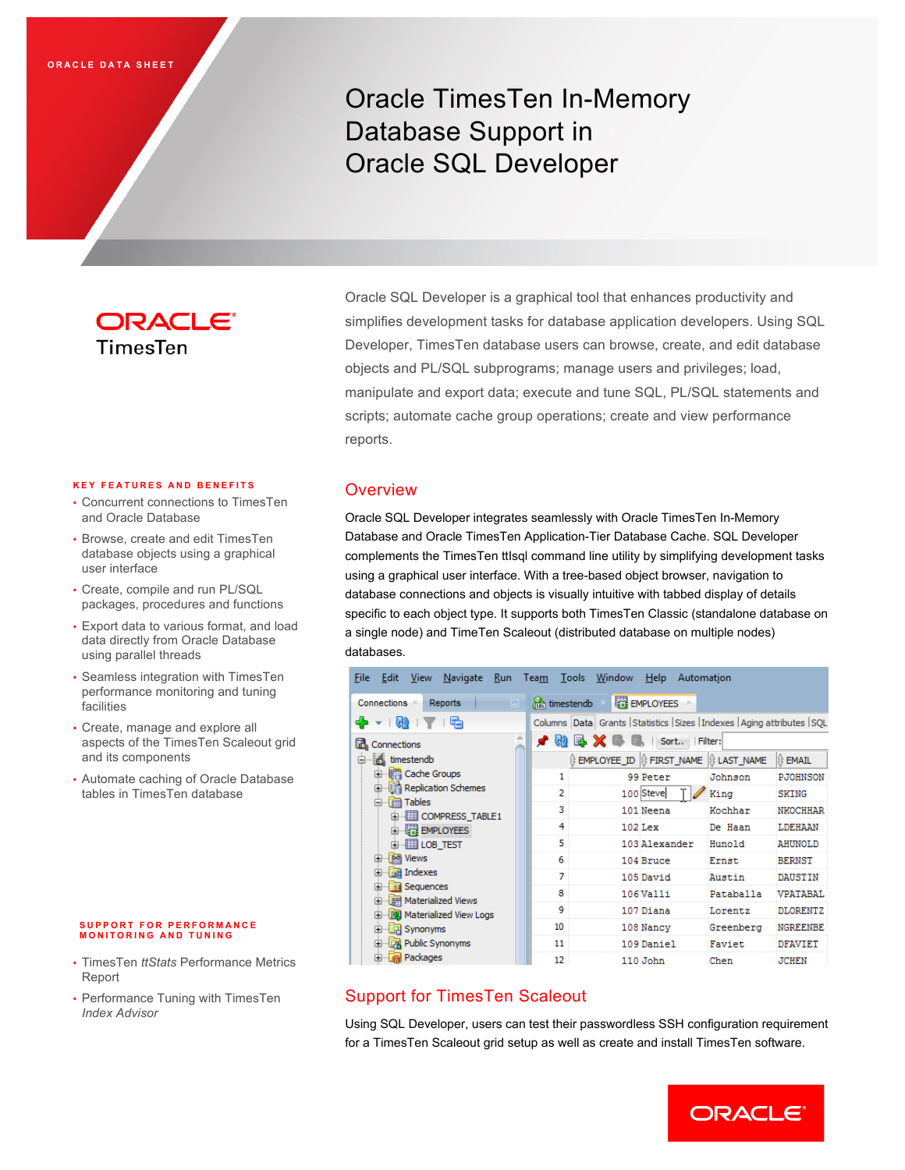# Oracle TimesTen In-Memory Database Support in Oracle SQL Developer

## ORACLE<sup>®</sup> TimesTen

## Oracle SQL Developer is a graphical tool that enhances productivity and simplifies development tasks for database application developers. Using SQL Developer, TimesTen database users can browse, create, and edit database objects and PL/SQL subprograms; manage users and privileges; load, manipulate and export data; execute and tune SQL, PL/SQL statements and scripts; automate cache group operations; create and view performance reports.

## **Overview**

Oracle SQL Developer integrates seamlessly with Oracle TimesTen In-Memory Database and Oracle TimesTen Application-Tier Database Cache. SQL Developer complements the TimesTen ttIsql command line utility by simplifying development tasks using a graphical user interface. With a tree-based object browser, navigation to database connections and objects is visually intuitive with tabbed display of details specific to each object type. It supports both TimesTen Classic (standalone database on a single node) and TimeTen Scaleout (distributed database on multiple nodes) databases.

| <b>View</b><br>Navigate Run Team Tools Window<br>File Edit                                                |                             | Help<br>Automation                   |           |                 |  |  |  |
|-----------------------------------------------------------------------------------------------------------|-----------------------------|--------------------------------------|-----------|-----------------|--|--|--|
| Connections <b>X</b><br>Reports<br>$\Box$                                                                 | s <sub>sot</sub> timestendb | EMPLOYEES X                          |           |                 |  |  |  |
| Ф<br>Columns Data Grants Statistics Sizes Indexes Aging attributes SQL<br>响<br>$\left(\frac{1}{2}\right)$ |                             |                                      |           |                 |  |  |  |
| 盀<br>E.<br>Connections                                                                                    | Sort<br>ረት<br>Filter:       |                                      |           |                 |  |  |  |
| timestendb<br>le.                                                                                         |                             | EMPLOYEE_ID   FIRST_NAME   LAST_NAME |           | <b>B</b> EMAIL  |  |  |  |
| ·· File Cache Groups<br>由                                                                                 | 1                           | 99 Peter                             | Johnson   | <b>PJOHNSON</b> |  |  |  |
| 由 精 Replication Schemes<br><b>Tables</b><br>e                                                             | 2                           | 100 Steve                            | King      | <b>SKING</b>    |  |  |  |
| 由 <b>EDITEE</b> COMPRESS TABLE1                                                                           | 3                           | 101 Neena                            | Kochhar   | <b>NKOCHHAR</b> |  |  |  |
| 白 <b>暗 EMPLOYEES</b>                                                                                      | 4                           | $102$ Lex                            | De Haan   | LDEHAAN         |  |  |  |
| 由 <b>田 LOB TEST</b>                                                                                       | 5                           | 103 Alexander                        | Hunold    | <b>AHUNOLD</b>  |  |  |  |
| 由 <b>M</b> Views                                                                                          | 6                           | 104 Bruce                            | Ernst     | <b>BERNST</b>   |  |  |  |
| <b>nd</b> Indexes<br>田<br>田                                                                               | 7                           | 105 David                            | Austin    | <b>DAUSTIN</b>  |  |  |  |
| Sequences<br><b>E</b> FR Materialized Views                                                               | 8                           | 106Valli                             | Pataballa | <b>VPATABAL</b> |  |  |  |
| 由…图 Materialized View Logs                                                                                | 9                           | 107 Diana                            | Lorentz   | DLORENTZ        |  |  |  |
| 由 C Synonyms                                                                                              | 10                          | 108 Nancy                            | Greenberg | <b>NGREENBE</b> |  |  |  |
| <b>Em</b> Public Synonyms                                                                                 | 11                          | 109 Daniel                           | Faviet    | DFAVIET         |  |  |  |
| <b>R</b> Packages<br><b>F</b>                                                                             | 12                          | 110 John                             | Chen      | <b>JCHEN</b>    |  |  |  |

## Support for TimesTen Scaleout

Using SQL Developer, users can test their passwordless SSH configuration requirement for a TimesTen Scaleout grid setup as well as create and install TimesTen software.

#### **K EY FEATURES AND BENEFITS**

- Concurrent connections to TimesTen and Oracle Database
- Browse, create and edit TimesTen database objects using a graphical user interface
- Create, compile and run PL/SQL packages, procedures and functions
- Export data to various format, and load data directly from Oracle Database using parallel threads
- Seamless integration with TimesTen performance monitoring and tuning facilities
- Create, manage and explore all aspects of the TimesTen Scaleout grid and its components
- Automate caching of Oracle Database tables in TimesTen database

#### **SUPPORT FOR PERFORMANCE MONITORING AND TUNING**

- TimesTen *ttStats* Performance Metrics Report
- Performance Tuning with TimesTen *Index Advisor*

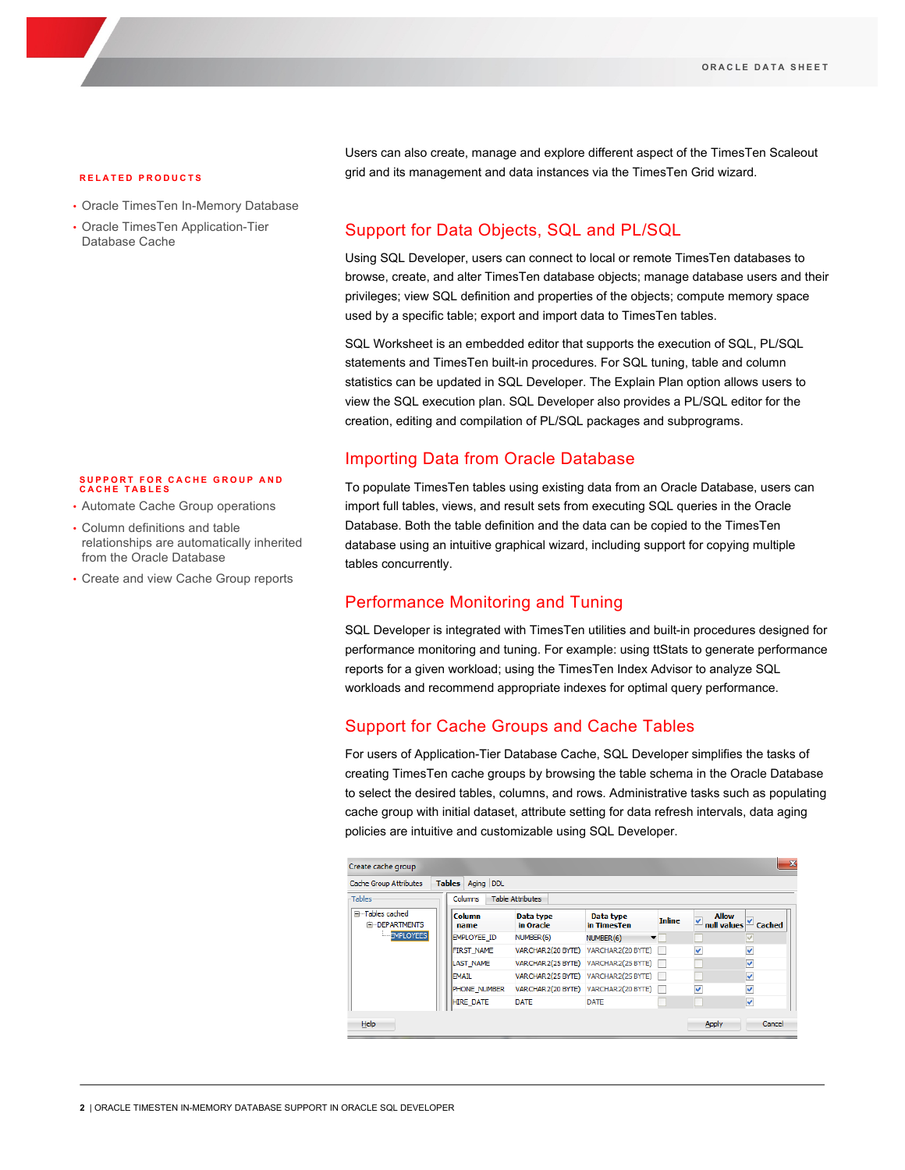#### **RELATED PRODUCTS**

- Oracle TimesTen In-Memory Database
- Oracle TimesTen Application-Tier Database Cache

#### **SUPPORT FOR CACHE GROUP AND CACHE TABLES**

- Automate Cache Group operations
- Column definitions and table relationships are automatically inherited from the Oracle Database
- Create and view Cache Group reports

Users can also create, manage and explore different aspect of the TimesTen Scaleout grid and its management and data instances via the TimesTen Grid wizard.

### Support for Data Objects, SQL and PL/SQL

Using SQL Developer, users can connect to local or remote TimesTen databases to browse, create, and alter TimesTen database objects; manage database users and their privileges; view SQL definition and properties of the objects; compute memory space used by a specific table; export and import data to TimesTen tables.

SQL Worksheet is an embedded editor that supports the execution of SQL, PL/SQL statements and TimesTen built-in procedures. For SQL tuning, table and column statistics can be updated in SQL Developer. The Explain Plan option allows users to view the SQL execution plan. SQL Developer also provides a PL/SQL editor for the creation, editing and compilation of PL/SQL packages and subprograms.

### Importing Data from Oracle Database

To populate TimesTen tables using existing data from an Oracle Database, users can import full tables, views, and result sets from executing SQL queries in the Oracle Database. Both the table definition and the data can be copied to the TimesTen database using an intuitive graphical wizard, including support for copying multiple tables concurrently.

## Performance Monitoring and Tuning

SQL Developer is integrated with TimesTen utilities and built-in procedures designed for performance monitoring and tuning. For example: using ttStats to generate performance reports for a given workload; using the TimesTen Index Advisor to analyze SQL workloads and recommend appropriate indexes for optimal query performance.

## Support for Cache Groups and Cache Tables

For users of Application-Tier Database Cache, SQL Developer simplifies the tasks of creating TimesTen cache groups by browsing the table schema in the Oracle Database to select the desired tables, columns, and rows. Administrative tasks such as populating cache group with initial dataset, attribute setting for data refresh intervals, data aging policies are intuitive and customizable using SQL Developer.

| Create cache group                      |                            |                         |                                                   |               |                   | $\mathbf{x}$              |
|-----------------------------------------|----------------------------|-------------------------|---------------------------------------------------|---------------|-------------------|---------------------------|
| Cache Group Attributes                  | <b>Tables</b><br>Aging DDL |                         |                                                   |               |                   |                           |
| Tables                                  | Columns                    | <b>Table Attributes</b> |                                                   |               |                   |                           |
| □ Tables cached<br><b>E-DEPARTMENTS</b> | Column<br>name             | Data type<br>in Oracle  | Data type<br>in TimesTen                          | <b>Inline</b> | <b>Allow</b><br>✔ | null values $\leq$ Cached |
| <b>EMPLOYEES</b>                        | <b>EMPLOYEE ID</b>         | NUMBER <sub>(6)</sub>   | NUMBER <sub>(6)</sub><br>$\overline{\phantom{a}}$ |               |                   | $\checkmark$              |
|                                         | <b>FIRST NAME</b>          | VARCHAR2(20 BYTE)       | VARCHAR2(20 BYTE)                                 |               | ⊽                 | $\checkmark$              |
|                                         | <b>LAST NAME</b>           | VARCHAR2(25 BYTE)       | VARCHAR2(25 BYTE)                                 |               |                   | $\checkmark$              |
|                                         | <b>EMAIL</b>               | VARCHAR2(25 BYTE)       | VARCHAR2(25 BYTE)                                 |               |                   | v                         |
|                                         | <b>PHONE NUMBER</b>        | VARCHAR2(20 BYTE)       | VARCHAR2(20 BYTE)                                 |               | v                 | v                         |
|                                         | <b>HIRE DATE</b>           | <b>DATE</b>             | <b>DATE</b>                                       |               |                   | $\blacktriangledown$      |
| Help                                    |                            |                         |                                                   |               | Apply             | Cancel                    |